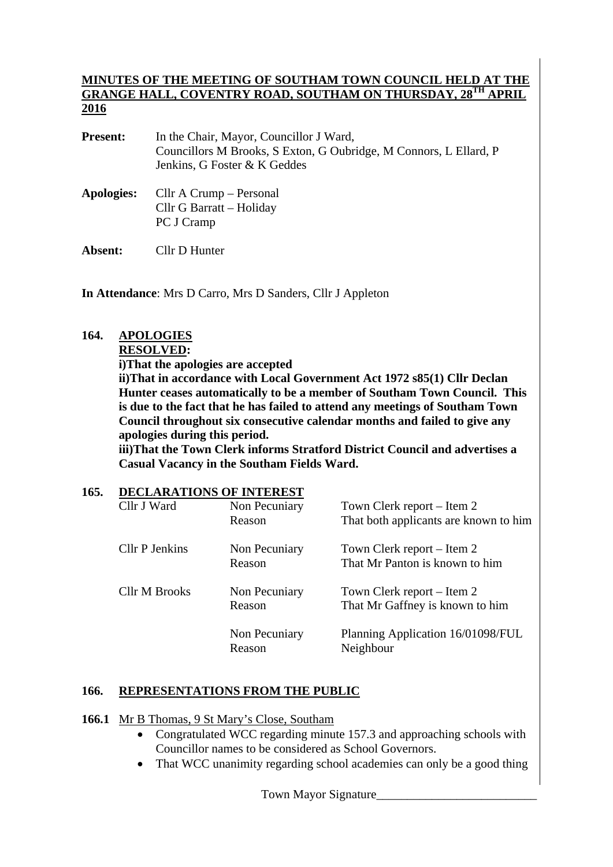#### **MINUTES OF THE MEETING OF SOUTHAM TOWN COUNCIL HELD AT THE GRANGE HALL, COVENTRY ROAD, SOUTHAM ON THURSDAY, 28TH APRIL 2016**

| <b>Present:</b> | In the Chair, Mayor, Councillor J Ward,                           |
|-----------------|-------------------------------------------------------------------|
|                 | Councillors M Brooks, S Exton, G Oubridge, M Connors, L Ellard, P |
|                 | Jenkins, G Foster & K Geddes                                      |
|                 |                                                                   |

**Apologies:** Cllr A Crump – Personal Cllr G Barratt – Holiday PC J Cramp

**Absent:** Cllr D Hunter

**In Attendance**: Mrs D Carro, Mrs D Sanders, Cllr J Appleton

## **164. APOLOGIES**

 **RESOLVED:** 

 **i)That the apologies are accepted** 

**ii)That in accordance with Local Government Act 1972 s85(1) Cllr Declan Hunter ceases automatically to be a member of Southam Town Council. This is due to the fact that he has failed to attend any meetings of Southam Town Council throughout six consecutive calendar months and failed to give any apologies during this period.** 

**iii)That the Town Clerk informs Stratford District Council and advertises a Casual Vacancy in the Southam Fields Ward.** 

| 165. | <b>DECLARATIONS OF INTEREST</b> |                         |                                                |
|------|---------------------------------|-------------------------|------------------------------------------------|
|      | Cllr J Ward                     | Non Pecuniary           | Town Clerk report – Item 2                     |
|      |                                 | Reason                  | That both applicants are known to him          |
|      | <b>Cllr P Jenkins</b>           | Non Pecuniary           | Town Clerk report – Item 2                     |
|      |                                 | Reason                  | That Mr Panton is known to him                 |
|      | Cllr M Brooks                   | Non Pecuniary           | Town Clerk report – Item 2                     |
|      |                                 | Reason                  | That Mr Gaffney is known to him                |
|      |                                 | Non Pecuniary<br>Reason | Planning Application 16/01098/FUL<br>Neighbour |
|      |                                 |                         |                                                |

## **166. REPRESENTATIONS FROM THE PUBLIC**

**166.1** Mr B Thomas, 9 St Mary's Close, Southam

- Congratulated WCC regarding minute 157.3 and approaching schools with Councillor names to be considered as School Governors.
- That WCC unanimity regarding school academies can only be a good thing

Town Mayor Signature\_\_\_\_\_\_\_\_\_\_\_\_\_\_\_\_\_\_\_\_\_\_\_\_\_\_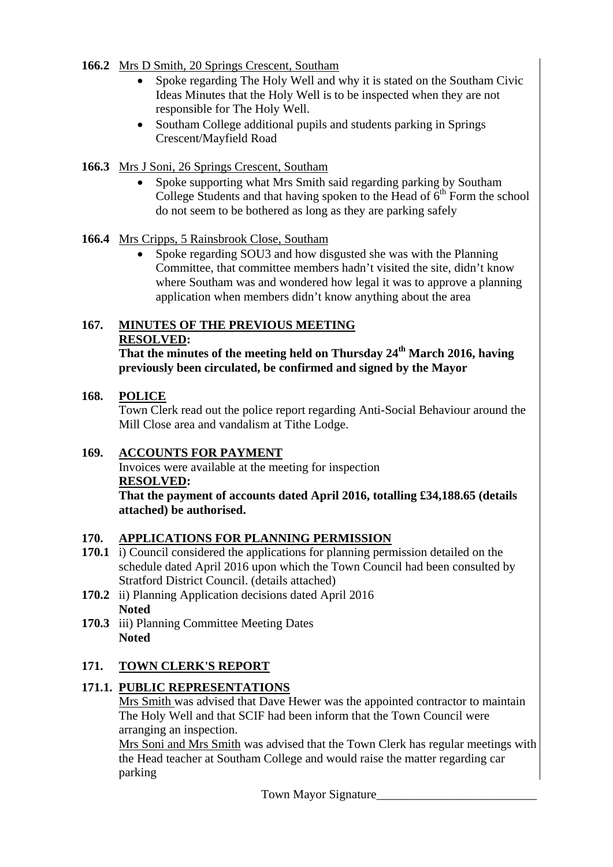### **166.2** Mrs D Smith, 20 Springs Crescent, Southam

- Spoke regarding The Holy Well and why it is stated on the Southam Civic Ideas Minutes that the Holy Well is to be inspected when they are not responsible for The Holy Well.
- Southam College additional pupils and students parking in Springs Crescent/Mayfield Road
- **166.3** Mrs J Soni, 26 Springs Crescent, Southam
	- Spoke supporting what Mrs Smith said regarding parking by Southam College Students and that having spoken to the Head of  $6<sup>th</sup>$  Form the school do not seem to be bothered as long as they are parking safely

### **166.4** Mrs Cripps, 5 Rainsbrook Close, Southam

• Spoke regarding SOU3 and how disgusted she was with the Planning Committee, that committee members hadn't visited the site, didn't know where Southam was and wondered how legal it was to approve a planning application when members didn't know anything about the area

# **167. MINUTES OF THE PREVIOUS MEETING RESOLVED:**

**That the minutes of the meeting held on Thursday 24th March 2016, having previously been circulated, be confirmed and signed by the Mayor** 

## **168. POLICE**

Town Clerk read out the police report regarding Anti-Social Behaviour around the Mill Close area and vandalism at Tithe Lodge.

## **169. ACCOUNTS FOR PAYMENT**

 Invoices were available at the meeting for inspection **RESOLVED:** 

**That the payment of accounts dated April 2016, totalling £34,188.65 (details attached) be authorised.** 

## **170. APPLICATIONS FOR PLANNING PERMISSION**

- **170.1** i) Council considered the applications for planning permission detailed on the schedule dated April 2016 upon which the Town Council had been consulted by Stratford District Council. (details attached)
- **170.2** ii) Planning Application decisions dated April 2016 **Noted**
- **170.3** iii) Planning Committee Meeting Dates **Noted**

## **171. TOWN CLERK'S REPORT**

## **171.1. PUBLIC REPRESENTATIONS**

Mrs Smith was advised that Dave Hewer was the appointed contractor to maintain The Holy Well and that SCIF had been inform that the Town Council were arranging an inspection.

Mrs Soni and Mrs Smith was advised that the Town Clerk has regular meetings with the Head teacher at Southam College and would raise the matter regarding car parking

Town Mayor Signature\_\_\_\_\_\_\_\_\_\_\_\_\_\_\_\_\_\_\_\_\_\_\_\_\_\_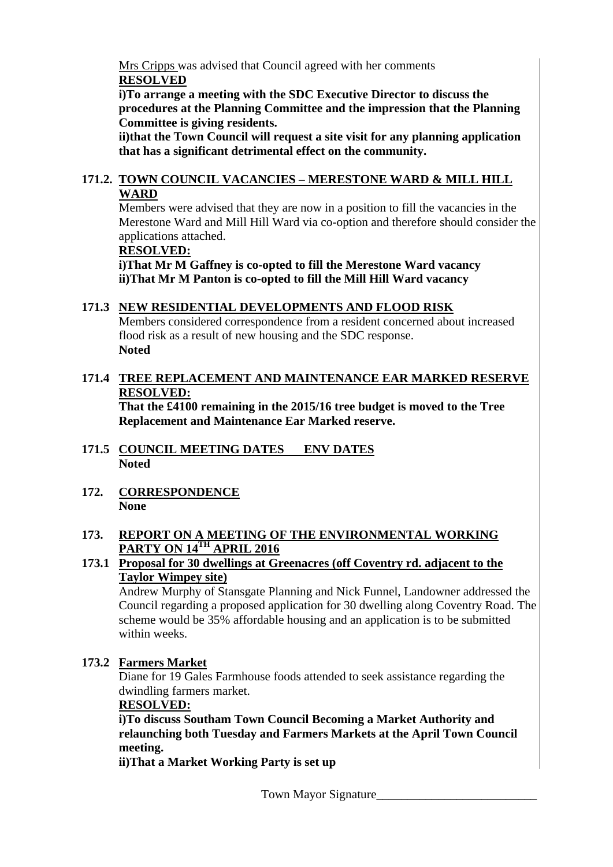Mrs Cripps was advised that Council agreed with her comments **RESOLVED**

**i)To arrange a meeting with the SDC Executive Director to discuss the procedures at the Planning Committee and the impression that the Planning Committee is giving residents.** 

**ii)that the Town Council will request a site visit for any planning application that has a significant detrimental effect on the community.** 

### **171.2. TOWN COUNCIL VACANCIES – MERESTONE WARD & MILL HILL WARD**

Members were advised that they are now in a position to fill the vacancies in the Merestone Ward and Mill Hill Ward via co-option and therefore should consider the applications attached.

#### **RESOLVED:**

 **i)That Mr M Gaffney is co-opted to fill the Merestone Ward vacancy ii)That Mr M Panton is co-opted to fill the Mill Hill Ward vacancy** 

### **171.3 NEW RESIDENTIAL DEVELOPMENTS AND FLOOD RISK**

Members considered correspondence from a resident concerned about increased flood risk as a result of new housing and the SDC response. **Noted** 

## **171.4 TREE REPLACEMENT AND MAINTENANCE EAR MARKED RESERVE RESOLVED:**

 **That the £4100 remaining in the 2015/16 tree budget is moved to the Tree Replacement and Maintenance Ear Marked reserve.** 

- **171.5 COUNCIL MEETING DATES ENV DATES Noted**
- **172. CORRESPONDENCE None**

#### **173. REPORT ON A MEETING OF THE ENVIRONMENTAL WORKING PARTY ON 14TH APRIL 2016**

### **173.1 Proposal for 30 dwellings at Greenacres (off Coventry rd. adjacent to the Taylor Wimpey site)**

Andrew Murphy of Stansgate Planning and Nick Funnel, Landowner addressed the Council regarding a proposed application for 30 dwelling along Coventry Road. The scheme would be 35% affordable housing and an application is to be submitted within weeks.

### **173.2 Farmers Market**

Diane for 19 Gales Farmhouse foods attended to seek assistance regarding the dwindling farmers market.

### **RESOLVED:**

**i)To discuss Southam Town Council Becoming a Market Authority and relaunching both Tuesday and Farmers Markets at the April Town Council meeting.** 

**ii)That a Market Working Party is set up**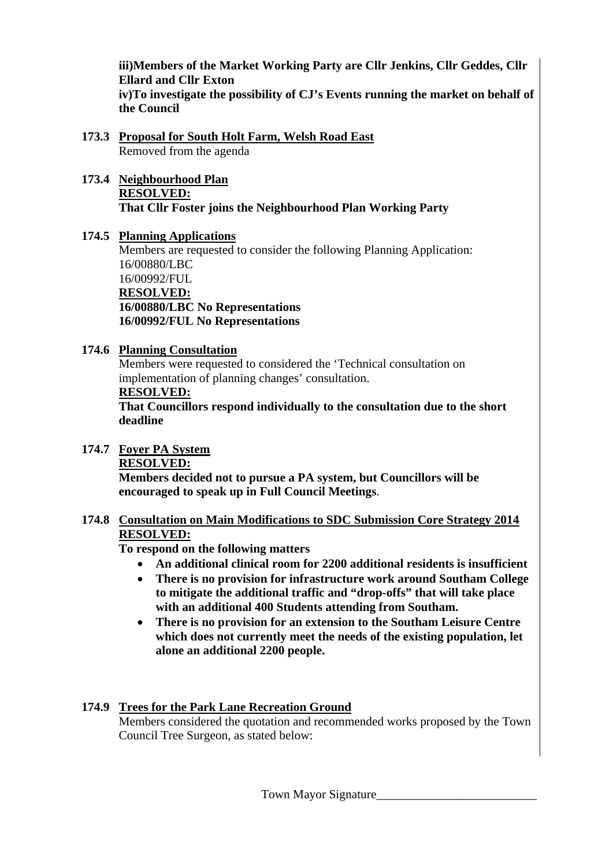**iii)Members of the Market Working Party are Cllr Jenkins, Cllr Geddes, Cllr Ellard and Cllr Exton iv)To investigate the possibility of CJ's Events running the market on behalf of the Council** 

- **173.3 Proposal for South Holt Farm, Welsh Road East** Removed from the agenda
- **173.4 Neighbourhood Plan RESOLVED: That Cllr Foster joins the Neighbourhood Plan Working Party**
- **174.5 Planning Applications**

Members are requested to consider the following Planning Application: 16/00880/LBC 16/00992/FUL **RESOLVED: 16/00880/LBC No Representations 16/00992/FUL No Representations** 

**174.6 Planning Consultation**

Members were requested to considered the 'Technical consultation on implementation of planning changes' consultation.

### **RESOLVED:**

**That Councillors respond individually to the consultation due to the short deadline** 

**174.7 Foyer PA System RESOLVED:**

**Members decided not to pursue a PA system, but Councillors will be encouraged to speak up in Full Council Meetings**.

**174.8 Consultation on Main Modifications to SDC Submission Core Strategy 2014 RESOLVED:**

**To respond on the following matters** 

- **An additional clinical room for 2200 additional residents is insufficient**
- **There is no provision for infrastructure work around Southam College to mitigate the additional traffic and "drop-offs" that will take place with an additional 400 Students attending from Southam.**
- **There is no provision for an extension to the Southam Leisure Centre which does not currently meet the needs of the existing population, let alone an additional 2200 people.**

## **174.9 Trees for the Park Lane Recreation Ground**

Members considered the quotation and recommended works proposed by the Town Council Tree Surgeon, as stated below: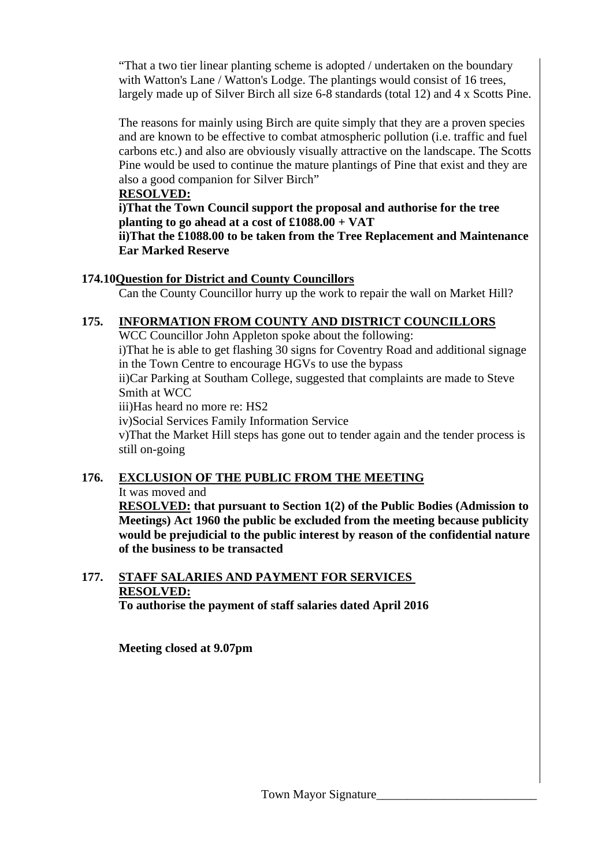"That a two tier linear planting scheme is adopted / undertaken on the boundary with Watton's Lane / Watton's Lodge. The plantings would consist of 16 trees, largely made up of Silver Birch all size 6-8 standards (total 12) and 4 x Scotts Pine.

The reasons for mainly using Birch are quite simply that they are a proven species and are known to be effective to combat atmospheric pollution (i.e. traffic and fuel carbons etc.) and also are obviously visually attractive on the landscape. The Scotts Pine would be used to continue the mature plantings of Pine that exist and they are also a good companion for Silver Birch"

### **RESOLVED:**

**i)That the Town Council support the proposal and authorise for the tree planting to go ahead at a cost of £1088.00 + VAT** 

**ii)That the £1088.00 to be taken from the Tree Replacement and Maintenance Ear Marked Reserve** 

## **174.10Question for District and County Councillors**

Can the County Councillor hurry up the work to repair the wall on Market Hill?

## **175. INFORMATION FROM COUNTY AND DISTRICT COUNCILLORS**

WCC Councillor John Appleton spoke about the following: i)That he is able to get flashing 30 signs for Coventry Road and additional signage in the Town Centre to encourage HGVs to use the bypass ii)Car Parking at Southam College, suggested that complaints are made to Steve Smith at WCC iii)Has heard no more re: HS2 iv)Social Services Family Information Service v)That the Market Hill steps has gone out to tender again and the tender process is still on-going

## **176. EXCLUSION OF THE PUBLIC FROM THE MEETING** It was moved and

**RESOLVED: that pursuant to Section 1(2) of the Public Bodies (Admission to Meetings) Act 1960 the public be excluded from the meeting because publicity would be prejudicial to the public interest by reason of the confidential nature of the business to be transacted** 

# **177. STAFF SALARIES AND PAYMENT FOR SERVICES RESOLVED:**

 **To authorise the payment of staff salaries dated April 2016** 

**Meeting closed at 9.07pm**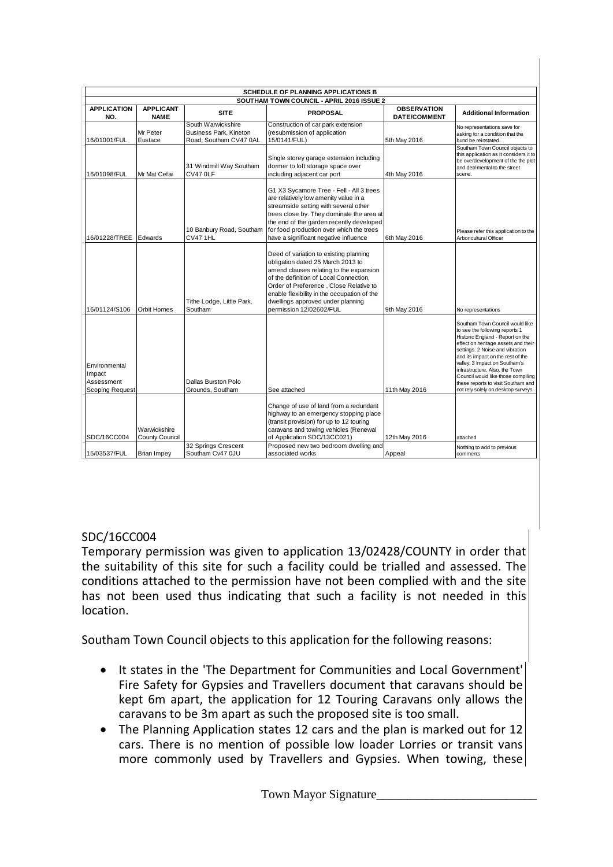|                                                                 |                                       |                                                                        | <b>SCHEDULE OF PLANNING APPLICATIONS B</b>                                                                                                                                                                                                                                                                                |                                           |                                                                                                                                                                                                                                                                                                                                                                                                            |
|-----------------------------------------------------------------|---------------------------------------|------------------------------------------------------------------------|---------------------------------------------------------------------------------------------------------------------------------------------------------------------------------------------------------------------------------------------------------------------------------------------------------------------------|-------------------------------------------|------------------------------------------------------------------------------------------------------------------------------------------------------------------------------------------------------------------------------------------------------------------------------------------------------------------------------------------------------------------------------------------------------------|
|                                                                 |                                       |                                                                        | SOUTHAM TOWN COUNCIL - APRIL 2016 ISSUE 2                                                                                                                                                                                                                                                                                 |                                           |                                                                                                                                                                                                                                                                                                                                                                                                            |
| <b>APPLICATION</b><br>NO.                                       | <b>APPLICANT</b><br><b>NAME</b>       | <b>SITE</b>                                                            | <b>PROPOSAL</b>                                                                                                                                                                                                                                                                                                           | <b>OBSERVATION</b><br><b>DATE/COMMENT</b> | <b>Additional Information</b>                                                                                                                                                                                                                                                                                                                                                                              |
| 16/01001/FUL                                                    | Mr Peter<br>Eustace                   | South Warwickshire<br>Business Park, Kineton<br>Road, Southam CV47 0AL | Construction of car park extension<br>(resubmission of application<br>15/0141/FUL)                                                                                                                                                                                                                                        | 5th May 2016                              | No representations save for<br>asking for a condition that the<br>bund be reinstated.                                                                                                                                                                                                                                                                                                                      |
| 16/01098/FUL                                                    | Mr Mat Cefai                          | 31 Windmill Way Southam<br>CV47 OLF                                    | Single storey garage extension including<br>dormer to loft storage space over<br>including adjacent car port                                                                                                                                                                                                              | 4th May 2016                              | Southam Town Council objects to<br>this application as it considers it to<br>be overdevelopment of the the plot<br>and detrimental to the street<br>scene.                                                                                                                                                                                                                                                 |
| 16/01228/TREE                                                   | Edwards                               | 10 Banbury Road, Southam<br><b>CV471HL</b>                             | G1 X3 Sycamore Tree - Fell - All 3 trees<br>are relatively low amenity value in a<br>streamside setting with several other<br>trees close by. They dominate the area at<br>the end of the garden recently developed<br>for food production over which the trees<br>have a significant negative influence                  | 6th May 2016                              | Please refer this application to the<br>Arboricultural Officer                                                                                                                                                                                                                                                                                                                                             |
| 16/01124/S106                                                   | Orbit Homes                           | Tithe Lodge, Little Park,<br>Southam                                   | Deed of variation to existing planning<br>obligation dated 25 March 2013 to<br>amend clauses relating to the expansion<br>of the definition of Local Connection.<br>Order of Preference, Close Relative to<br>enable flexibility in the occupation of the<br>dwellings approved under planning<br>permission 12/02602/FUL | 9th May 2016                              | No representations                                                                                                                                                                                                                                                                                                                                                                                         |
| Environmental<br>Impact<br>Assessment<br><b>Scoping Request</b> |                                       | <b>Dallas Burston Polo</b><br>Grounds, Southam                         | See attached                                                                                                                                                                                                                                                                                                              | 11th May 2016                             | Southam Town Council would like<br>to see the following reports 1<br>Historic England - Report on the<br>effect on heritage assets and their<br>settings. 2 Noise and vibration<br>and its impact on the rest of the<br>valley. 3 Impact on Southam's<br>infrastructure. Also, the Town<br>Council would like those compiling<br>these reports to visit Southam and<br>not rely solely on desktop surveys. |
| SDC/16CC004                                                     | Warwickshire<br><b>County Council</b> |                                                                        | Change of use of land from a redundant<br>highway to an emergency stopping place<br>(transit provision) for up to 12 touring<br>caravans and towing vehicles (Renewal<br>of Application SDC/13CC021)                                                                                                                      | 12th May 2016                             | attached                                                                                                                                                                                                                                                                                                                                                                                                   |
| 15/03537/FUL                                                    | <b>Brian Impey</b>                    | 32 Springs Crescent<br>Southam Cv47 0JU                                | Proposed new two bedroom dwelling and<br>associated works                                                                                                                                                                                                                                                                 | Appeal                                    | Nothing to add to previous<br>comments                                                                                                                                                                                                                                                                                                                                                                     |

## SDC/16CC004

Temporary permission was given to application 13/02428/COUNTY in order that the suitability of this site for such a facility could be trialled and assessed. The conditions attached to the permission have not been complied with and the site has not been used thus indicating that such a facility is not needed in this location.

Southam Town Council objects to this application for the following reasons:

- It states in the 'The Department for Communities and Local Government' Fire Safety for Gypsies and Travellers document that caravans should be kept 6m apart, the application for 12 Touring Caravans only allows the caravans to be 3m apart as such the proposed site is too small.
- The Planning Application states 12 cars and the plan is marked out for 12 cars. There is no mention of possible low loader Lorries or transit vans more commonly used by Travellers and Gypsies. When towing, these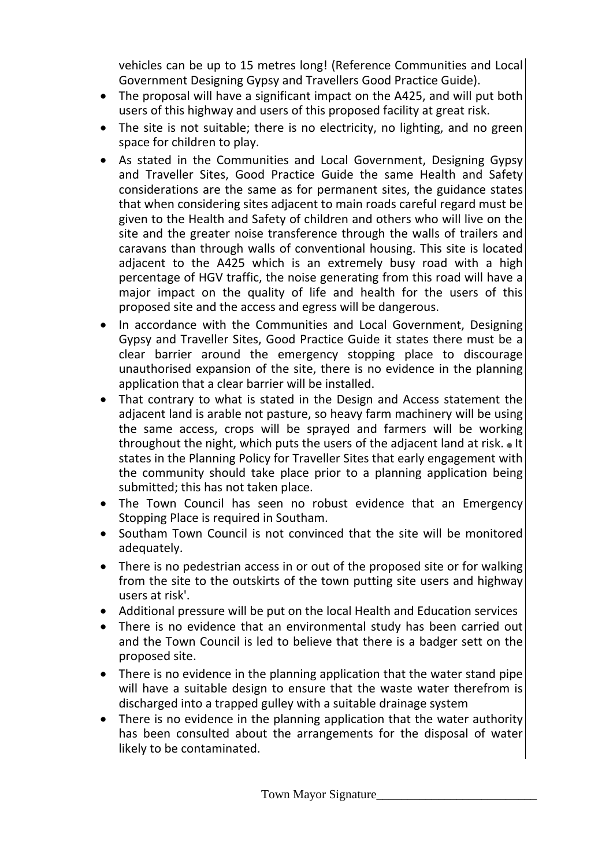vehicles can be up to 15 metres long! (Reference Communities and Local Government Designing Gypsy and Travellers Good Practice Guide).

- The proposal will have a significant impact on the A425, and will put both users of this highway and users of this proposed facility at great risk.
- The site is not suitable; there is no electricity, no lighting, and no green space for children to play.
- As stated in the Communities and Local Government, Designing Gypsy and Traveller Sites, Good Practice Guide the same Health and Safety considerations are the same as for permanent sites, the guidance states that when considering sites adjacent to main roads careful regard must be given to the Health and Safety of children and others who will live on the site and the greater noise transference through the walls of trailers and caravans than through walls of conventional housing. This site is located adjacent to the A425 which is an extremely busy road with a high percentage of HGV traffic, the noise generating from this road will have a major impact on the quality of life and health for the users of this proposed site and the access and egress will be dangerous.
- In accordance with the Communities and Local Government, Designing Gypsy and Traveller Sites, Good Practice Guide it states there must be a clear barrier around the emergency stopping place to discourage unauthorised expansion of the site, there is no evidence in the planning application that a clear barrier will be installed.
- That contrary to what is stated in the Design and Access statement the adjacent land is arable not pasture, so heavy farm machinery will be using the same access, crops will be sprayed and farmers will be working throughout the night, which puts the users of the adjacent land at risk. • It states in the Planning Policy for Traveller Sites that early engagement with the community should take place prior to a planning application being submitted; this has not taken place.
- The Town Council has seen no robust evidence that an Emergency Stopping Place is required in Southam.
- Southam Town Council is not convinced that the site will be monitored adequately.
- There is no pedestrian access in or out of the proposed site or for walking from the site to the outskirts of the town putting site users and highway users at risk'.
- Additional pressure will be put on the local Health and Education services
- There is no evidence that an environmental study has been carried out and the Town Council is led to believe that there is a badger sett on the proposed site.
- There is no evidence in the planning application that the water stand pipe will have a suitable design to ensure that the waste water therefrom is discharged into a trapped gulley with a suitable drainage system
- There is no evidence in the planning application that the water authority has been consulted about the arrangements for the disposal of water likely to be contaminated.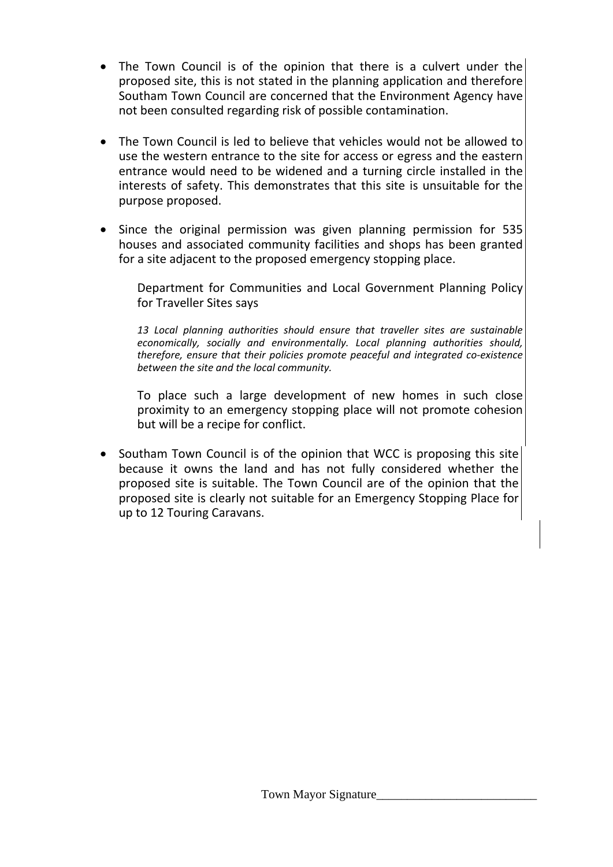- The Town Council is of the opinion that there is a culvert under the proposed site, this is not stated in the planning application and therefore Southam Town Council are concerned that the Environment Agency have not been consulted regarding risk of possible contamination.
- The Town Council is led to believe that vehicles would not be allowed to use the western entrance to the site for access or egress and the eastern entrance would need to be widened and a turning circle installed in the interests of safety. This demonstrates that this site is unsuitable for the purpose proposed.
- Since the original permission was given planning permission for 535 houses and associated community facilities and shops has been granted for a site adjacent to the proposed emergency stopping place.

Department for Communities and Local Government Planning Policy for Traveller Sites says

*13 Local planning authorities should ensure that traveller sites are sustainable economically, socially and environmentally. Local planning authorities should, therefore, ensure that their policies promote peaceful and integrated co‐existence between the site and the local community.* 

To place such a large development of new homes in such close proximity to an emergency stopping place will not promote cohesion but will be a recipe for conflict.

• Southam Town Council is of the opinion that WCC is proposing this site because it owns the land and has not fully considered whether the proposed site is suitable. The Town Council are of the opinion that the proposed site is clearly not suitable for an Emergency Stopping Place for up to 12 Touring Caravans.